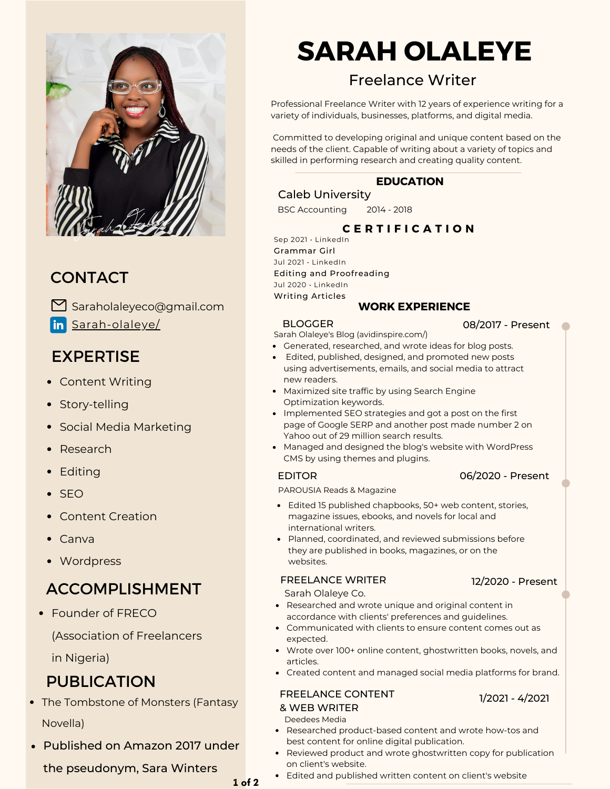

## **CONTACT**

Saraholaleyeco@gmail.com in [Sarah-olaleye/](https://www.linkedin.com/in/sarah-olaleye/)

## EXPERTISE

- Content Writing
- Story-telling
- Social Media Marketing
- Research
- Editing
- $\bullet$  SFO
- Content Creation
- Canva
- Wordpress

# ACCOMPLISHMENT

Founder of FRECO

(Association of Freelancers

in Nigeria)

# PUBLICATION

- The Tombstone of Monsters (Fantasy Novella)
- Published on Amazon 2017 under

the pseudonym, Sara Winters

# **SARAH OLALEYE**

# Freelance Writer

Professional Freelance Writer with 12 years of experience writing for a variety of individuals, businesses, platforms, and digital media.

Committed to developing original and unique content based on the needs of the client. Capable of writing about a variety of topics and skilled in performing research and creating quality content.

## **EDUCATION**

## Caleb University

BSC Accounting 2014 - 2018

## **C E R T I F I C A T I O N**

Sep 2021 • LinkedIn Grammar Girl Jul 2021 • LinkedIn Editing and Proofreading Jul 2020 • LinkedIn Writing Articles

### **WORK EXPERIENCE**

### **BLOGGER**

08/2017 - Present

- Sarah Olaleye's Blog (avidinspire.com/)
- Generated, researched, and wrote ideas for blog posts.
- Edited, published, designed, and promoted new posts using advertisements, emails, and social media to attract new readers.
- Maximized site traffic by using Search Engine Optimization keywords.
- Implemented SEO strategies and got a post on the first page of Google SERP and another post made number 2 on Yahoo out of 29 million search results.
- Managed and designed the blog's website with WordPress CMS by using themes and plugins.

#### EDITOR

PAROUSIA Reads & Magazine

- Edited 15 published chapbooks, 50+ web content, stories, magazine issues, ebooks, and novels for local and international writers.
- Planned, coordinated, and reviewed submissions before they are published in books, magazines, or on the websites.

#### FREELANCE WRITER

Sarah Olaleye Co.

- Researched and wrote unique and original content in accordance with clients' preferences and guidelines.
- Communicated with clients to ensure content comes out as expected.
- Wrote over 100+ online content, ghostwritten books, novels, and articles.
- Created content and managed social media platforms for brand.

#### FREELANCE CONTENT & WEB WRITER

1/2021 - 4/2021

- Researched product-based content and wrote how-tos and best content for online digital publication. Deedees Media
- Reviewed product and wrote ghostwritten copy for publication on client's website.
- Edited and published written content on client's website

**1 of 2**

12/2020 - Present

06/2020 - Present